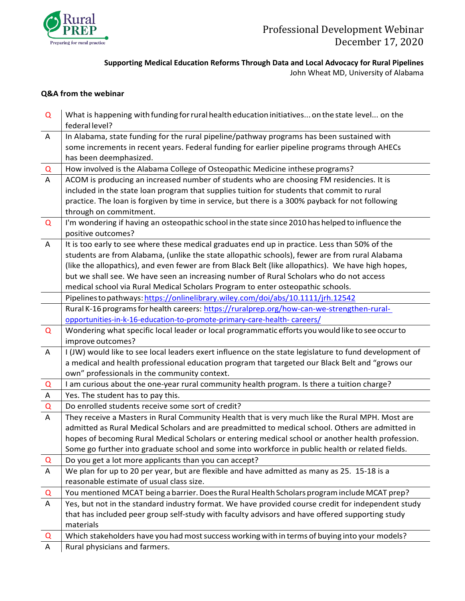

**Supporting Medical Education Reforms Through Data and Local Advocacy for Rural Pipelines**

John Wheat MD, University of Alabama

## **Q&A from the webinar**

| Q                         | What is happening with funding for rural health education initiatives on the state level on the        |
|---------------------------|--------------------------------------------------------------------------------------------------------|
|                           | federal level?                                                                                         |
| A                         | In Alabama, state funding for the rural pipeline/pathway programs has been sustained with              |
|                           | some increments in recent years. Federal funding for earlier pipeline programs through AHECs           |
|                           | has been deemphasized.                                                                                 |
| Q                         | How involved is the Alabama College of Osteopathic Medicine inthese programs?                          |
| A                         | ACOM is producing an increased number of students who are choosing FM residencies. It is               |
|                           | included in the state loan program that supplies tuition for students that commit to rural             |
|                           | practice. The loan is forgiven by time in service, but there is a 300% payback for not following       |
|                           | through on commitment.                                                                                 |
| Q                         | I'm wondering if having an osteopathic school in the state since 2010 has helped to influence the      |
|                           | positive outcomes?                                                                                     |
| $\mathsf{A}$              | It is too early to see where these medical graduates end up in practice. Less than 50% of the          |
|                           | students are from Alabama, (unlike the state allopathic schools), fewer are from rural Alabama         |
|                           | (like the allopathics), and even fewer are from Black Belt (like allopathics). We have high hopes,     |
|                           | but we shall see. We have seen an increasing number of Rural Scholars who do not access                |
|                           | medical school via Rural Medical Scholars Program to enter osteopathic schools.                        |
|                           | Pipelines to pathways: https://onlinelibrary.wiley.com/doi/abs/10.1111/jrh.12542                       |
|                           | Rural K-16 programs for health careers: https://ruralprep.org/how-can-we-strengthen-rural-             |
|                           | opportunities-in-k-16-education-to-promote-primary-care-health-careers/                                |
| $\Omega$                  | Wondering what specific local leader or local programmatic efforts you would like to see occur to      |
|                           | improve outcomes?                                                                                      |
| $\overline{A}$            | I (JW) would like to see local leaders exert influence on the state legislature to fund development of |
|                           | a medical and health professional education program that targeted our Black Belt and "grows our        |
|                           | own" professionals in the community context.                                                           |
| $\overline{Q}$            | I am curious about the one-year rural community health program. Is there a tuition charge?             |
| $\boldsymbol{\mathsf{A}}$ | Yes. The student has to pay this.                                                                      |
| $\mathsf Q$               | Do enrolled students receive some sort of credit?                                                      |
| A                         | They receive a Masters in Rural Community Health that is very much like the Rural MPH. Most are        |
|                           | admitted as Rural Medical Scholars and are preadmitted to medical school. Others are admitted in       |
|                           | hopes of becoming Rural Medical Scholars or entering medical school or another health profession.      |
|                           | Some go further into graduate school and some into workforce in public health or related fields.       |
| Q                         | Do you get a lot more applicants than you can accept?                                                  |
| $\mathsf{A}$              | We plan for up to 20 per year, but are flexible and have admitted as many as 25. 15-18 is a            |
|                           | reasonable estimate of usual class size.                                                               |
| Q                         | You mentioned MCAT being a barrier. Does the Rural Health Scholars program include MCAT prep?          |
| A                         | Yes, but not in the standard industry format. We have provided course credit for independent study     |
|                           | that has included peer group self-study with faculty advisors and have offered supporting study        |
|                           | materials                                                                                              |
| Q                         | Which stakeholders have you had most success working with in terms of buying into your models?         |
| A                         | Rural physicians and farmers.                                                                          |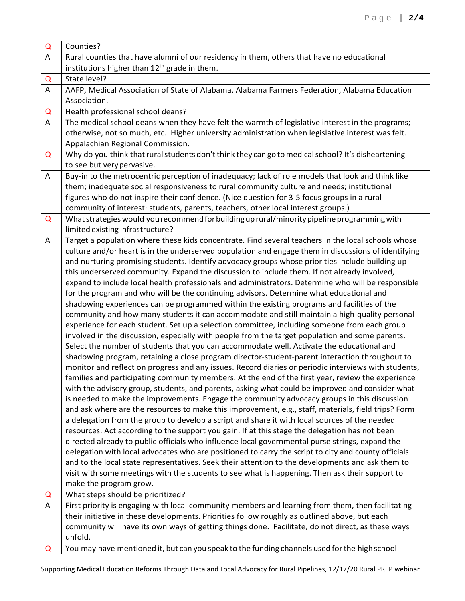| Q | Counties?                                                                                                                                                                                          |
|---|----------------------------------------------------------------------------------------------------------------------------------------------------------------------------------------------------|
| A | Rural counties that have alumni of our residency in them, others that have no educational                                                                                                          |
|   | institutions higher than 12 <sup>th</sup> grade in them.                                                                                                                                           |
| Q | State level?                                                                                                                                                                                       |
| A | AAFP, Medical Association of State of Alabama, Alabama Farmers Federation, Alabama Education                                                                                                       |
|   | Association.                                                                                                                                                                                       |
| Q | Health professional school deans?                                                                                                                                                                  |
| A | The medical school deans when they have felt the warmth of legislative interest in the programs;                                                                                                   |
|   | otherwise, not so much, etc. Higher university administration when legislative interest was felt.                                                                                                  |
|   | Appalachian Regional Commission.                                                                                                                                                                   |
| Q | Why do you think that rural students don't think they can go to medical school? It's disheartening                                                                                                 |
|   | to see but very pervasive.                                                                                                                                                                         |
| A | Buy-in to the metrocentric perception of inadequacy; lack of role models that look and think like                                                                                                  |
|   | them; inadequate social responsiveness to rural community culture and needs; institutional<br>figures who do not inspire their confidence. (Nice question for 3-5 focus groups in a rural          |
|   | community of interest: students, parents, teachers, other local interest groups.)                                                                                                                  |
| Q | What strategies would you recommend for building up rural/minority pipeline programming with                                                                                                       |
|   | limited existing infrastructure?                                                                                                                                                                   |
| A | Target a population where these kids concentrate. Find several teachers in the local schools whose                                                                                                 |
|   | culture and/or heart is in the underserved population and engage them in discussions of identifying                                                                                                |
|   | and nurturing promising students. Identify advocacy groups whose priorities include building up                                                                                                    |
|   | this underserved community. Expand the discussion to include them. If not already involved,                                                                                                        |
|   | expand to include local health professionals and administrators. Determine who will be responsible                                                                                                 |
|   | for the program and who will be the continuing advisors. Determine what educational and                                                                                                            |
|   | shadowing experiences can be programmed within the existing programs and facilities of the                                                                                                         |
|   | community and how many students it can accommodate and still maintain a high-quality personal                                                                                                      |
|   | experience for each student. Set up a selection committee, including someone from each group                                                                                                       |
|   | involved in the discussion, especially with people from the target population and some parents.                                                                                                    |
|   | Select the number of students that you can accommodate well. Activate the educational and                                                                                                          |
|   | shadowing program, retaining a close program director-student-parent interaction throughout to                                                                                                     |
|   | monitor and reflect on progress and any issues. Record diaries or periodic interviews with students,                                                                                               |
|   | families and participating community members. At the end of the first year, review the experience                                                                                                  |
|   | with the advisory group, students, and parents, asking what could be improved and consider what                                                                                                    |
|   | is needed to make the improvements. Engage the community advocacy groups in this discussion                                                                                                        |
|   | and ask where are the resources to make this improvement, e.g., staff, materials, field trips? Form                                                                                                |
|   | a delegation from the group to develop a script and share it with local sources of the needed                                                                                                      |
|   | resources. Act according to the support you gain. If at this stage the delegation has not been                                                                                                     |
|   | directed already to public officials who influence local governmental purse strings, expand the                                                                                                    |
|   | delegation with local advocates who are positioned to carry the script to city and county officials                                                                                                |
|   | and to the local state representatives. Seek their attention to the developments and ask them to                                                                                                   |
|   | visit with some meetings with the students to see what is happening. Then ask their support to                                                                                                     |
|   | make the program grow.                                                                                                                                                                             |
| Q | What steps should be prioritized?                                                                                                                                                                  |
| A | First priority is engaging with local community members and learning from them, then facilitating<br>their initiative in these developments. Priorities follow roughly as outlined above, but each |
|   | community will have its own ways of getting things done. Facilitate, do not direct, as these ways                                                                                                  |
|   | unfold.                                                                                                                                                                                            |
| Q | You may have mentioned it, but can you speak to the funding channels used for the high school                                                                                                      |
|   |                                                                                                                                                                                                    |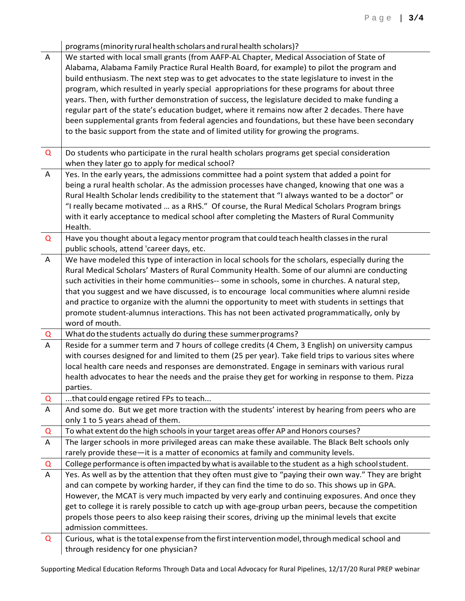|                | programs (minority rural health scholars and rural health scholars)?                                                                                                                          |
|----------------|-----------------------------------------------------------------------------------------------------------------------------------------------------------------------------------------------|
| $\mathsf{A}$   | We started with local small grants (from AAFP-AL Chapter, Medical Association of State of                                                                                                     |
|                | Alabama, Alabama Family Practice Rural Health Board, for example) to pilot the program and                                                                                                    |
|                | build enthusiasm. The next step was to get advocates to the state legislature to invest in the                                                                                                |
|                | program, which resulted in yearly special appropriations for these programs for about three                                                                                                   |
|                | years. Then, with further demonstration of success, the legislature decided to make funding a                                                                                                 |
|                | regular part of the state's education budget, where it remains now after 2 decades. There have                                                                                                |
|                | been supplemental grants from federal agencies and foundations, but these have been secondary                                                                                                 |
|                | to the basic support from the state and of limited utility for growing the programs.                                                                                                          |
| Q              | Do students who participate in the rural health scholars programs get special consideration                                                                                                   |
|                | when they later go to apply for medical school?                                                                                                                                               |
| $\mathsf{A}$   | Yes. In the early years, the admissions committee had a point system that added a point for                                                                                                   |
|                | being a rural health scholar. As the admission processes have changed, knowing that one was a                                                                                                 |
|                | Rural Health Scholar lends credibility to the statement that "I always wanted to be a doctor" or                                                                                              |
|                | "I really became motivated  as a RHS." Of course, the Rural Medical Scholars Program brings                                                                                                   |
|                | with it early acceptance to medical school after completing the Masters of Rural Community                                                                                                    |
|                | Health.                                                                                                                                                                                       |
| Q              | Have you thought about a legacy mentor program that could teach health classes in the rural                                                                                                   |
| $\overline{A}$ | public schools, attend 'career days, etc.<br>We have modeled this type of interaction in local schools for the scholars, especially during the                                                |
|                | Rural Medical Scholars' Masters of Rural Community Health. Some of our alumni are conducting                                                                                                  |
|                | such activities in their home communities-- some in schools, some in churches. A natural step,                                                                                                |
|                | that you suggest and we have discussed, is to encourage local communities where alumni reside                                                                                                 |
|                | and practice to organize with the alumni the opportunity to meet with students in settings that                                                                                               |
|                | promote student-alumnus interactions. This has not been activated programmatically, only by                                                                                                   |
|                | word of mouth.                                                                                                                                                                                |
| Q              | What do the students actually do during these summer programs?                                                                                                                                |
| A              | Reside for a summer term and 7 hours of college credits (4 Chem, 3 English) on university campus                                                                                              |
|                | with courses designed for and limited to them (25 per year). Take field trips to various sites where                                                                                          |
|                | local health care needs and responses are demonstrated. Engage in seminars with various rural                                                                                                 |
|                | health advocates to hear the needs and the praise they get for working in response to them. Pizza                                                                                             |
|                | parties.                                                                                                                                                                                      |
| Q              | that could engage retired FPs to teach                                                                                                                                                        |
| $\mathsf{A}$   | And some do. But we get more traction with the students' interest by hearing from peers who are                                                                                               |
|                | only 1 to 5 years ahead of them.                                                                                                                                                              |
| Q              | To what extent do the high schools in your target areas offer AP and Honors courses?                                                                                                          |
| A              | The larger schools in more privileged areas can make these available. The Black Belt schools only                                                                                             |
|                | rarely provide these-it is a matter of economics at family and community levels.                                                                                                              |
| Q              | College performance is often impacted by what is available to the student as a high school student.                                                                                           |
| $\overline{A}$ | Yes. As well as by the attention that they often must give to "paying their own way." They are bright                                                                                         |
|                | and can compete by working harder, if they can find the time to do so. This shows up in GPA.<br>However, the MCAT is very much impacted by very early and continuing exposures. And once they |
|                | get to college it is rarely possible to catch up with age-group urban peers, because the competition                                                                                          |
|                | propels those peers to also keep raising their scores, driving up the minimal levels that excite                                                                                              |
|                | admission committees.                                                                                                                                                                         |
| Q              | Curious, what is the total expense from the first intervention model, through medical school and                                                                                              |
|                | through residency for one physician?                                                                                                                                                          |

Supporting Medical Education Reforms Through Data and Local Advocacy for Rural Pipelines, 12/17/20 Rural PREP webinar